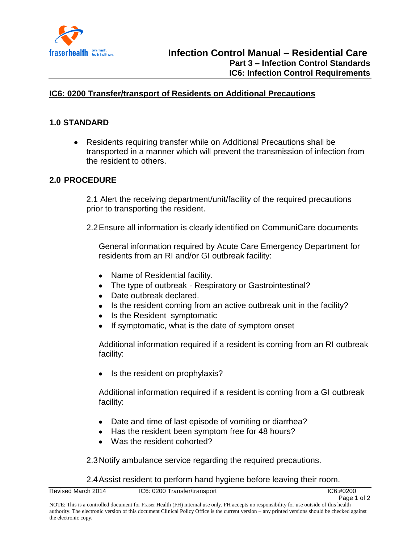

## **IC6: 0200 Transfer/transport of Residents on Additional Precautions**

## **1.0 STANDARD**

Residents requiring transfer while on Additional Precautions shall be transported in a manner which will prevent the transmission of infection from the resident to others.

## **2.0 PROCEDURE**

2.1 Alert the receiving department/unit/facility of the required precautions prior to transporting the resident.

2.2Ensure all information is clearly identified on CommuniCare documents

General information required by Acute Care Emergency Department for residents from an RI and/or GI outbreak facility:

- Name of Residential facility.
- The type of outbreak Respiratory or Gastrointestinal?
- Date outbreak declared.
- Is the resident coming from an active outbreak unit in the facility?
- Is the Resident symptomatic
- $\bullet$ If symptomatic, what is the date of symptom onset

Additional information required if a resident is coming from an RI outbreak facility:

• Is the resident on prophylaxis?

Additional information required if a resident is coming from a GI outbreak facility:

- Date and time of last episode of vomiting or diarrhea?
- Has the resident been symptom free for 48 hours?
- Was the resident cohorted?

2.3Notify ambulance service regarding the required precautions.

2.4Assist resident to perform hand hygiene before leaving their room.

| Revised March 2014 | IC6: 0200 Transfer/transport                                                                                                              | IC6: #0200  |
|--------------------|-------------------------------------------------------------------------------------------------------------------------------------------|-------------|
|                    |                                                                                                                                           | Page 1 of 2 |
|                    | NOTE: This is a controlled document for Fraser Health (FH) internal use only. FH accepts no responsibility for use outside of this health |             |

NOTE: This is a controlled document for Fraser Health (FH) internal use only. FH accepts no responsibility for use outside of this health authority. The electronic version of this document Clinical Policy Office is the current version – any printed versions should be checked against the electronic copy.